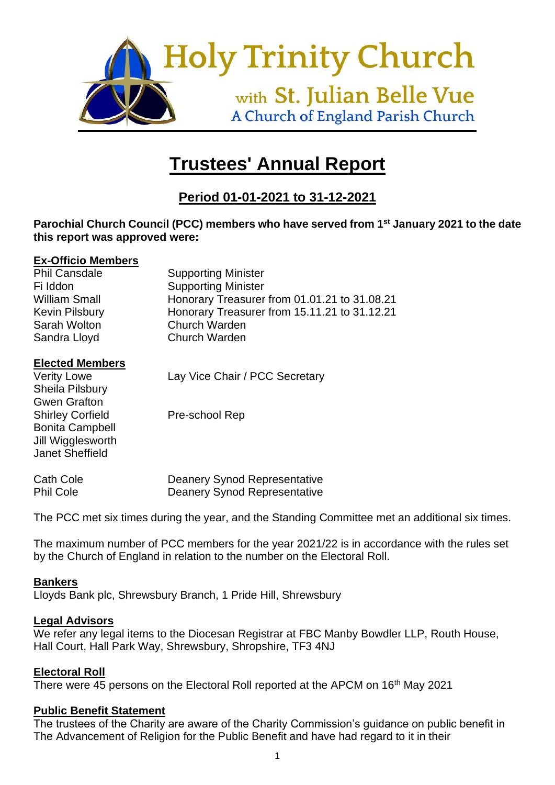

# **Trustees' Annual Report**

# **Period 01-01-2021 to 31-12-2021**

#### **Parochial Church Council (PCC) members who have served from 1st January 2021 to the date this report was approved were:**

#### **Ex-Officio Members**

| <b>Supporting Minister</b>                   |
|----------------------------------------------|
| <b>Supporting Minister</b>                   |
| Honorary Treasurer from 01.01.21 to 31.08.21 |
| Honorary Treasurer from 15.11.21 to 31.12.21 |
| <b>Church Warden</b>                         |
| <b>Church Warden</b>                         |
|                                              |

#### **Elected Members**

Sheila Pilsbury Gwen Grafton Shirley Corfield Pre-school Rep Bonita Campbell Jill Wigglesworth Janet Sheffield

Verity Lowe Lay Vice Chair / PCC Secretary

| Cath Cole        | Deanery Synod Representative |
|------------------|------------------------------|
| <b>Phil Cole</b> | Deanery Synod Representative |

The PCC met six times during the year, and the Standing Committee met an additional six times.

The maximum number of PCC members for the year 2021/22 is in accordance with the rules set by the Church of England in relation to the number on the Electoral Roll.

#### **Bankers**

Lloyds Bank plc, Shrewsbury Branch, 1 Pride Hill, Shrewsbury

#### **Legal Advisors**

We refer any legal items to the Diocesan Registrar at FBC Manby Bowdler LLP, Routh House, Hall Court, Hall Park Way, Shrewsbury, Shropshire, TF3 4NJ

#### **Electoral Roll**

There were 45 persons on the Electoral Roll reported at the APCM on 16<sup>th</sup> May 2021

#### **Public Benefit Statement**

The trustees of the Charity are aware of the Charity Commission's guidance on public benefit in The Advancement of Religion for the Public Benefit and have had regard to it in their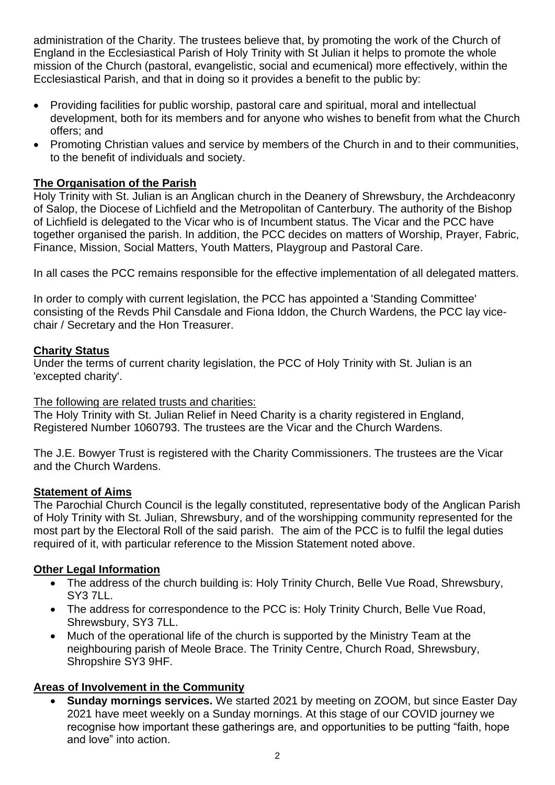administration of the Charity. The trustees believe that, by promoting the work of the Church of England in the Ecclesiastical Parish of Holy Trinity with St Julian it helps to promote the whole mission of the Church (pastoral, evangelistic, social and ecumenical) more effectively, within the Ecclesiastical Parish, and that in doing so it provides a benefit to the public by:

- Providing facilities for public worship, pastoral care and spiritual, moral and intellectual development, both for its members and for anyone who wishes to benefit from what the Church offers; and
- Promoting Christian values and service by members of the Church in and to their communities, to the benefit of individuals and society.

# **The Organisation of the Parish**

Holy Trinity with St. Julian is an Anglican church in the Deanery of Shrewsbury, the Archdeaconry of Salop, the Diocese of Lichfield and the Metropolitan of Canterbury. The authority of the Bishop of Lichfield is delegated to the Vicar who is of Incumbent status. The Vicar and the PCC have together organised the parish. In addition, the PCC decides on matters of Worship, Prayer, Fabric, Finance, Mission, Social Matters, Youth Matters, Playgroup and Pastoral Care.

In all cases the PCC remains responsible for the effective implementation of all delegated matters.

In order to comply with current legislation, the PCC has appointed a 'Standing Committee' consisting of the Revds Phil Cansdale and Fiona Iddon, the Church Wardens, the PCC lay vicechair / Secretary and the Hon Treasurer.

# **Charity Status**

Under the terms of current charity legislation, the PCC of Holy Trinity with St. Julian is an 'excepted charity'.

# The following are related trusts and charities:

The Holy Trinity with St. Julian Relief in Need Charity is a charity registered in England, Registered Number 1060793. The trustees are the Vicar and the Church Wardens.

The J.E. Bowyer Trust is registered with the Charity Commissioners. The trustees are the Vicar and the Church Wardens.

# **Statement of Aims**

The Parochial Church Council is the legally constituted, representative body of the Anglican Parish of Holy Trinity with St. Julian, Shrewsbury, and of the worshipping community represented for the most part by the Electoral Roll of the said parish. The aim of the PCC is to fulfil the legal duties required of it, with particular reference to the Mission Statement noted above.

# **Other Legal Information**

- The address of the church building is: Holy Trinity Church, Belle Vue Road, Shrewsbury, SY3 7LL.
- The address for correspondence to the PCC is: Holy Trinity Church, Belle Vue Road, Shrewsbury, SY3 7LL.
- Much of the operational life of the church is supported by the Ministry Team at the neighbouring parish of Meole Brace. The Trinity Centre, Church Road, Shrewsbury, Shropshire SY3 9HF.

# **Areas of Involvement in the Community**

• **Sunday mornings services.** We started 2021 by meeting on ZOOM, but since Easter Day 2021 have meet weekly on a Sunday mornings. At this stage of our COVID journey we recognise how important these gatherings are, and opportunities to be putting "faith, hope and love" into action.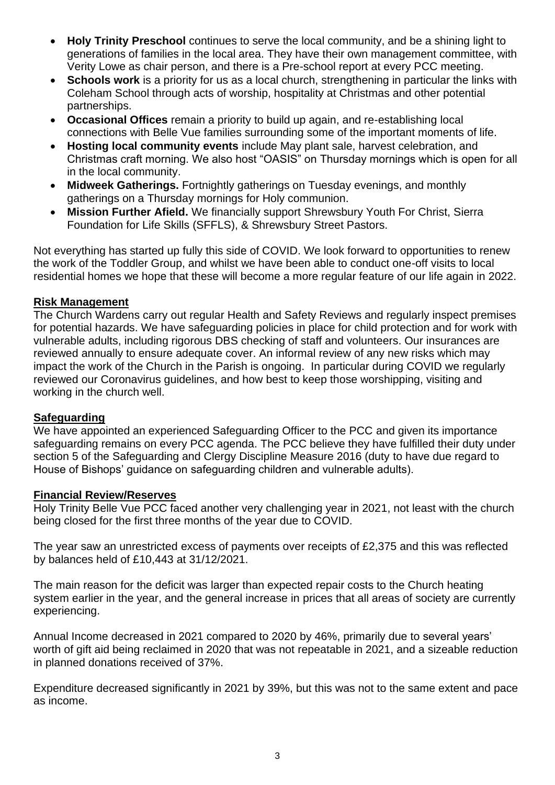- **Holy Trinity Preschool** continues to serve the local community, and be a shining light to generations of families in the local area. They have their own management committee, with Verity Lowe as chair person, and there is a Pre-school report at every PCC meeting.
- **Schools work** is a priority for us as a local church, strengthening in particular the links with Coleham School through acts of worship, hospitality at Christmas and other potential partnerships.
- **Occasional Offices** remain a priority to build up again, and re-establishing local connections with Belle Vue families surrounding some of the important moments of life.
- **Hosting local community events** include May plant sale, harvest celebration, and Christmas craft morning. We also host "OASIS" on Thursday mornings which is open for all in the local community.
- **Midweek Gatherings.** Fortnightly gatherings on Tuesday evenings, and monthly gatherings on a Thursday mornings for Holy communion.
- **Mission Further Afield.** We financially support Shrewsbury Youth For Christ, Sierra Foundation for Life Skills (SFFLS), & Shrewsbury Street Pastors.

Not everything has started up fully this side of COVID. We look forward to opportunities to renew the work of the Toddler Group, and whilst we have been able to conduct one-off visits to local residential homes we hope that these will become a more regular feature of our life again in 2022.

#### **Risk Management**

The Church Wardens carry out regular Health and Safety Reviews and regularly inspect premises for potential hazards. We have safeguarding policies in place for child protection and for work with vulnerable adults, including rigorous DBS checking of staff and volunteers. Our insurances are reviewed annually to ensure adequate cover. An informal review of any new risks which may impact the work of the Church in the Parish is ongoing. In particular during COVID we regularly reviewed our Coronavirus guidelines, and how best to keep those worshipping, visiting and working in the church well.

#### **Safeguarding**

We have appointed an experienced Safeguarding Officer to the PCC and given its importance safeguarding remains on every PCC agenda. The PCC believe they have fulfilled their duty under section 5 of the Safeguarding and Clergy Discipline Measure 2016 (duty to have due regard to House of Bishops' guidance on safeguarding children and vulnerable adults).

#### **Financial Review/Reserves**

Holy Trinity Belle Vue PCC faced another very challenging year in 2021, not least with the church being closed for the first three months of the year due to COVID.

The year saw an unrestricted excess of payments over receipts of £2,375 and this was reflected by balances held of £10,443 at 31/12/2021.

The main reason for the deficit was larger than expected repair costs to the Church heating system earlier in the year, and the general increase in prices that all areas of society are currently experiencing.

Annual Income decreased in 2021 compared to 2020 by 46%, primarily due to several years' worth of gift aid being reclaimed in 2020 that was not repeatable in 2021, and a sizeable reduction in planned donations received of 37%.

Expenditure decreased significantly in 2021 by 39%, but this was not to the same extent and pace as income.